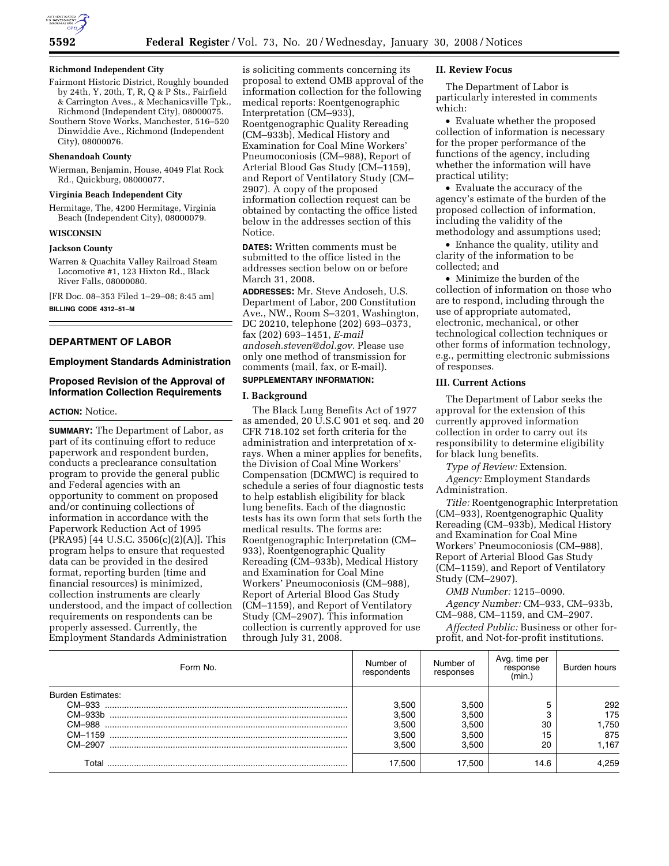

#### **Richmond Independent City**

- Fairmont Historic District, Roughly bounded by 24th, Y, 20th, T, R, Q & P Sts., Fairfield & Carrington Aves., & Mechanicsville Tpk., Richmond (Independent City), 08000075.
- Southern Stove Works, Manchester, 516–520 Dinwiddie Ave., Richmond (Independent City), 08000076.

#### **Shenandoah County**

Wierman, Benjamin, House, 4049 Flat Rock Rd., Quickburg, 08000077.

#### **Virginia Beach Independent City**

Hermitage, The, 4200 Hermitage, Virginia Beach (Independent City), 08000079.

## **WISCONSIN**

# **Jackson County**

Warren & Quachita Valley Railroad Steam Locomotive #1, 123 Hixton Rd., Black River Falls, 08000080.

[FR Doc. 08–353 Filed 1–29–08; 8:45 am] **BILLING CODE 4312–51–M** 

# **DEPARTMENT OF LABOR**

# **Employment Standards Administration**

# **Proposed Revision of the Approval of Information Collection Requirements**

#### **ACTION:** Notice.

**SUMMARY:** The Department of Labor, as part of its continuing effort to reduce paperwork and respondent burden, conducts a preclearance consultation program to provide the general public and Federal agencies with an opportunity to comment on proposed and/or continuing collections of information in accordance with the Paperwork Reduction Act of 1995  $(PRA95)$  [44 U.S.C. 3506(c)(2)(A)]. This program helps to ensure that requested data can be provided in the desired format, reporting burden (time and financial resources) is minimized, collection instruments are clearly understood, and the impact of collection requirements on respondents can be properly assessed. Currently, the Employment Standards Administration

is soliciting comments concerning its proposal to extend OMB approval of the information collection for the following medical reports: Roentgenographic Interpretation (CM–933), Roentgenographic Quality Rereading (CM–933b), Medical History and Examination for Coal Mine Workers' Pneumoconiosis (CM–988), Report of Arterial Blood Gas Study (CM–1159), and Report of Ventilatory Study (CM– 2907). A copy of the proposed information collection request can be obtained by contacting the office listed below in the addresses section of this Notice.

**DATES:** Written comments must be submitted to the office listed in the addresses section below on or before March 31, 2008.

**ADDRESSES:** Mr. Steve Andoseh, U.S. Department of Labor, 200 Constitution Ave., NW., Room S–3201, Washington, DC 20210, telephone (202) 693–0373, fax (202) 693–1451, *E-mail andoseh.steven@dol.gov.* Please use only one method of transmission for comments (mail, fax, or E-mail). **SUPPLEMENTARY INFORMATION:** 

## **I. Background**

The Black Lung Benefits Act of 1977 as amended, 20 U.S.C 901 et seq. and 20 CFR 718.102 set forth criteria for the administration and interpretation of xrays. When a miner applies for benefits, the Division of Coal Mine Workers' Compensation (DCMWC) is required to schedule a series of four diagnostic tests to help establish eligibility for black lung benefits. Each of the diagnostic tests has its own form that sets forth the medical results. The forms are: Roentgenographic Interpretation (CM– 933), Roentgenographic Quality Rereading (CM–933b), Medical History and Examination for Coal Mine Workers' Pneumoconiosis (CM–988), Report of Arterial Blood Gas Study (CM–1159), and Report of Ventilatory Study (CM–2907). This information collection is currently approved for use through July 31, 2008.

#### **II. Review Focus**

The Department of Labor is particularly interested in comments which:

• Evaluate whether the proposed collection of information is necessary for the proper performance of the functions of the agency, including whether the information will have practical utility;

• Evaluate the accuracy of the agency's estimate of the burden of the proposed collection of information, including the validity of the methodology and assumptions used;

• Enhance the quality, utility and clarity of the information to be collected; and

• Minimize the burden of the collection of information on those who are to respond, including through the use of appropriate automated, electronic, mechanical, or other technological collection techniques or other forms of information technology, e.g., permitting electronic submissions of responses.

# **III. Current Actions**

The Department of Labor seeks the approval for the extension of this currently approved information collection in order to carry out its responsibility to determine eligibility for black lung benefits.

*Type of Review:* Extension. *Agency:* Employment Standards Administration.

*Title:* Roentgenographic Interpretation (CM–933), Roentgenographic Quality Rereading (CM–933b), Medical History and Examination for Coal Mine Workers' Pneumoconiosis (CM–988), Report of Arterial Blood Gas Study (CM–1159), and Report of Ventilatory Study (CM–2907).

*OMB Number:* 1215–0090.

*Agency Number:* CM–933, CM–933b, CM–988, CM–1159, and CM–2907.

*Affected Public:* Business or other forprofit, and Not-for-profit institutions.

| Form No.                 | Number of<br>respondents | Number of<br>responses | Avg. time per<br>response<br>(min.) | Burden hours |
|--------------------------|--------------------------|------------------------|-------------------------------------|--------------|
| <b>Burden Estimates:</b> |                          |                        |                                     |              |
| CM-933                   | 3.500                    | 3.500                  |                                     | 292          |
| CM-933b                  | 3,500                    | 3.500                  |                                     | 175          |
| CM-988                   | 3,500                    | 3.500                  | 30                                  | 750. ا       |
|                          | 3,500                    | 3.500                  | 15                                  | 875          |
| CM-2907                  | 3.500                    | 3.500                  | 20                                  | 1.167        |
| Total                    | 17,500                   | 17.500                 | 14.6                                | 4.259        |